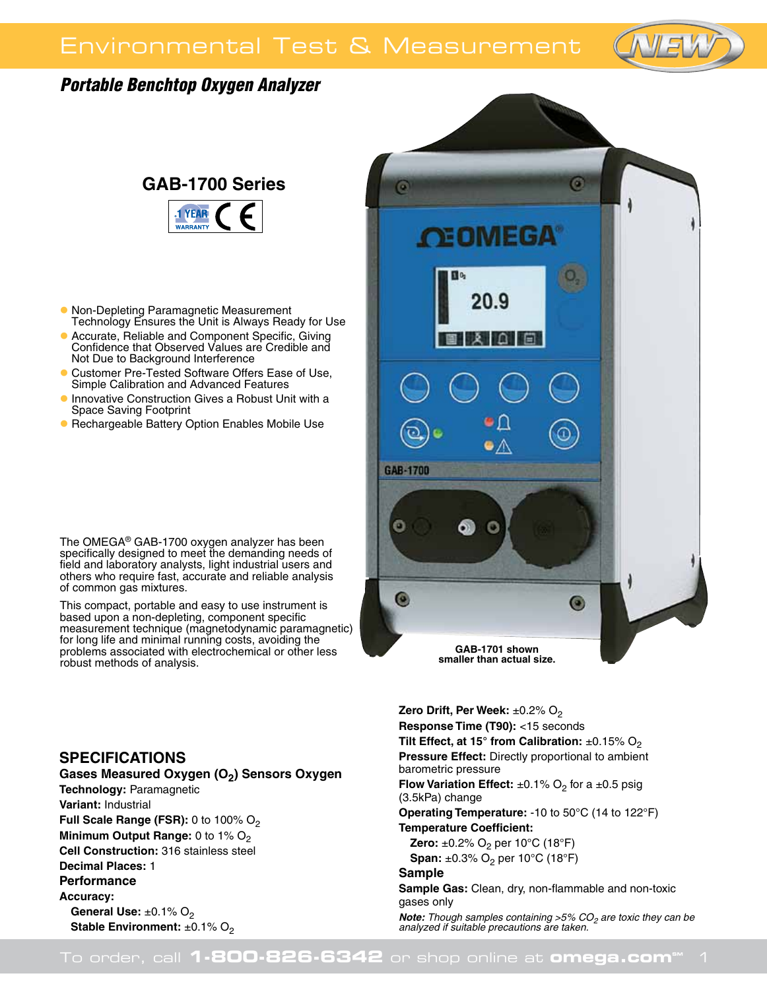# Environmental Test & Measurement

### *Portable Benchtop Oxygen Analyzer*

## **GAB-1700 Series**



- l Non-Depleting Paramagnetic Measurement Technology Ensures the Unit is Always Ready for Use
- **Accurate, Reliable and Component Specific, Giving** Confidence that Observed Values are Credible and Not Due to Background Interference
- Customer Pre-Tested Software Offers Ease of Use, Simple Calibration and Advanced Features
- Innovative Construction Gives a Robust Unit with a Space Saving Footprint
- Rechargeable Battery Option Enables Mobile Use

The OMEGA® GAB-1700 oxygen analyzer has been specifically designed to meet the demanding needs of field and laboratory analysts, light industrial users and others who require fast, accurate and reliable analysis of common gas mixtures.

This compact, portable and easy to use instrument is based upon a non-depleting, component specific measurement technique (magnetodynamic paramagnetic) for long life and minimal running costs, avoiding the problems associated with electrochemical or other less robust methods of analysis.



**Specifications**

Gases Measured Oxygen (O<sub>2</sub>) Sensors Oxygen **Technology:** Paramagnetic **Variant:** Industrial **Full Scale Range (FSR):** 0 to 100% O<sub>2</sub> **Minimum Output Range:** 0 to 1% O<sub>2</sub> **Cell Construction:** 316 stainless steel **Decimal Places:** 1 **Performance Accuracy: General Use: ±0.1% O<sub>2</sub> Stable Environment:** ±0.1% O<sub>2</sub>

**Zero Drift, Per Week:** ±0.2% O<sub>2</sub> **Response Time (T90):** <15 seconds **Tilt Effect, at 15° from Calibration:**  $\pm 0.15\%$  O<sub>2</sub> **Pressure Effect:** Directly proportional to ambient barometric pressure **Flow Variation Effect:**  $\pm 0.1\%$  O<sub>2</sub> for a  $\pm 0.5$  psig (3.5kPa) change **Operating Temperature:** -10 to 50°C (14 to 122°F) **Temperature Coefficient: Zero:** ±0.2% O<sub>2</sub> per 10°C (18°F) **Span:** ±0.3% O<sub>2</sub> per 10°C (18°F) **Sample Sample Gas:** Clean, dry, non-flammable and non-toxic gases only

*Note: Though samples containing >5% CO<sub>2</sub> are toxic they can be analyzed if suitable precautions are taken.*